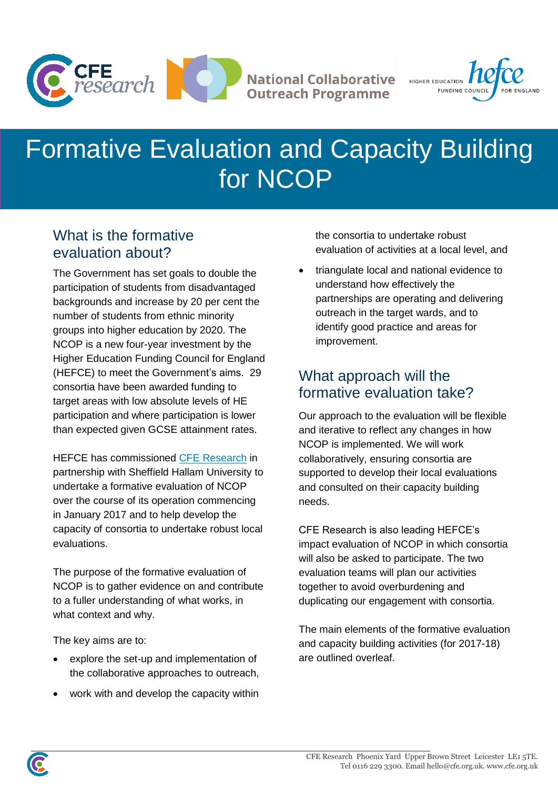



# Formative Evaluation and Capacity Building for NCOP

## What is the formative evaluation about?

The Government has set goals to double the participation of students from disadvantaged backgrounds and increase by 20 per cent the number of students from ethnic minority groups into higher education by 2020. The NCOP is a new four-year investment by the Higher Education Funding Council for England (HEFCE) to meet the Government's aims. 29 consortia have been awarded funding to target areas with low absolute levels of HE participation and where participation is lower than expected given GCSE attainment rates.

HEFCE has commissioned [CFE Research](http://cfe.org.uk/) in partnership with Sheffield Hallam University to undertake a formative evaluation of NCOP over the course of its operation commencing in January 2017 and to help develop the capacity of consortia to undertake robust local evaluations.

The purpose of the formative evaluation of NCOP is to gather evidence on and contribute to a fuller understanding of what works, in what context and why.

The key aims are to:

- explore the set-up and implementation of the collaborative approaches to outreach,
- work with and develop the capacity within

the consortia to undertake robust evaluation of activities at a local level, and

 triangulate local and national evidence to understand how effectively the partnerships are operating and delivering outreach in the target wards, and to identify good practice and areas for improvement.

# What approach will the formative evaluation take?

Our approach to the evaluation will be flexible and iterative to reflect any changes in how NCOP is implemented. We will work collaboratively, ensuring consortia are supported to develop their local evaluations and consulted on their capacity building needs.

CFE Research is also leading HEFCE's impact evaluation of NCOP in which consortia will also be asked to participate. The two evaluation teams will plan our activities together to avoid overburdening and duplicating our engagement with consortia.

The main elements of the formative evaluation and capacity building activities (for 2017-18) are outlined overleaf.